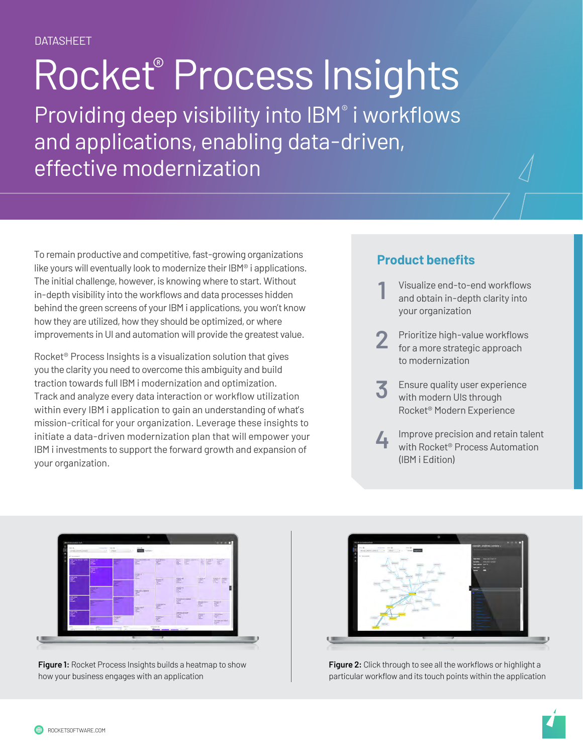# Rocket® Process Insights

Providing deep visibility into IBM® i workflows and applications, enabling data-driven, effective modernization

To remain productive and competitive, fast-growing organizations like yours will eventually look to modernize their IBM® i applications. The initial challenge, however, is knowing where to start. Without in-depth visibility into the workflows and data processes hidden behind the green screens of your IBM i applications, you won't know how they are utilized, how they should be optimized, or where improvements in UI and automation will provide the greatest value.

Rocket® Process Insights is a visualization solution that gives you the clarity you need to overcome this ambiguity and build traction towards full IBM i modernization and optimization. Track and analyze every data interaction or workflow utilization within every IBM i application to gain an understanding of what's mission-critical for your organization. Leverage these insights to initiate a data-driven modernization plan that will empower your IBM i investments to support the forward growth and expansion of your organization.

### **Product benefits**

- 1 Visualize end-to-end workflows<br>and obtain in-depth clarity into your organization
- **2** Prioritize high-value workflows for a more strategic approach to modernization
- **3** Ensure quality user experience with modern UIs through Rocket® Modern Experience
- **4** Improve precision and retain talent with Rocket® Process Automation (IBM i Edition)



**Figure 1:** Rocket Process Insights builds a heatmap to show how your business engages with an application



**Figure 2:** Click through to see all the workflows or highlight a particular workflow and its touch points within the application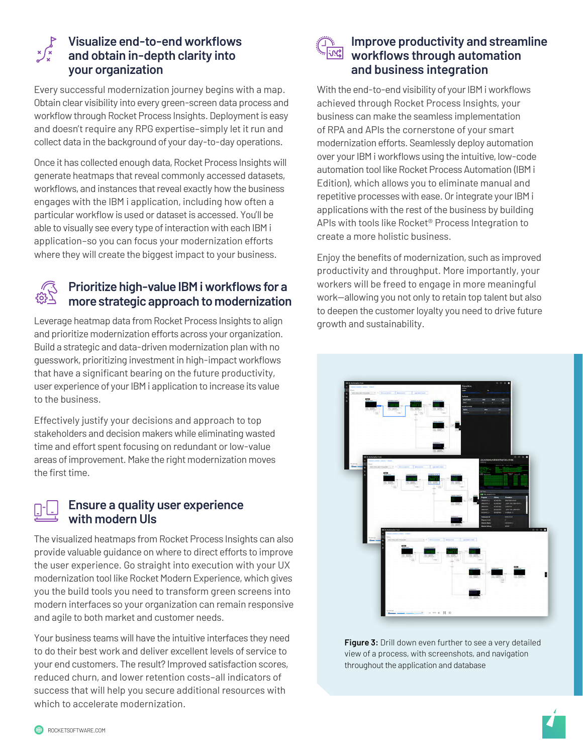

### **Visualize end-to-end workflows and obtain in-depth clarity into your organization**

Every successful modernization journey begins with a map. Obtain clear visibility into every green-screen data process and workflow through Rocket Process Insights. Deployment is easy and doesn't require any RPG expertise–simply let it run and collect data in the background of your day-to-day operations.

Once it has collected enough data, Rocket Process Insights will generate heatmaps that reveal commonly accessed datasets, workflows, and instances that reveal exactly how the business engages with the IBM i application, including how often a particular workflow is used or dataset is accessed. You'll be able to visually see every type of interaction with each IBM i application–so you can focus your modernization efforts where they will create the biggest impact to your business.



#### **Prioritize high-value IBM i workflows for a more strategic approach to modernization**

Leverage heatmap data from Rocket Process Insights to align and prioritize modernization efforts across your organization. Build a strategic and data-driven modernization plan with no guesswork, prioritizing investment in high-impact workflows that have a significant bearing on the future productivity, user experience of your IBM i application to increase its value to the business.

Effectively justify your decisions and approach to top stakeholders and decision makers while eliminating wasted time and effort spent focusing on redundant or low-value areas of improvement. Make the right modernization moves the first time.



#### **Ensure a quality user experience with modern UIs**

The visualized heatmaps from Rocket Process Insights can also provide valuable guidance on where to direct efforts to improve the user experience. Go straight into execution with your UX modernization tool like Rocket Modern Experience, which gives you the build tools you need to transform green screens into modern interfaces so your organization can remain responsive and agile to both market and customer needs.

Your business teams will have the intuitive interfaces they need to do their best work and deliver excellent levels of service to your end customers. The result? Improved satisfaction scores, reduced churn, and lower retention costs–all indicators of success that will help you secure additional resources with which to accelerate modernization.



### **Improve productivity and streamline workflows through automation and business integration**

With the end-to-end visibility of your IBM i workflows achieved through Rocket Process Insights, your business can make the seamless implementation of RPA and APIs the cornerstone of your smart modernization efforts. Seamlessly deploy automation over your IBM i workflows using the intuitive, low-code automation tool like Rocket Process Automation (IBM i Edition), which allows you to eliminate manual and repetitive processes with ease. Or integrate your IBM i applications with the rest of the business by building APIs with tools like Rocket® Process Integration to create a more holistic business.

Enjoy the benefits of modernization, such as improved productivity and throughput. More importantly, your workers will be freed to engage in more meaningful work—allowing you not only to retain top talent but also to deepen the customer loyalty you need to drive future growth and sustainability.



**Figure 3:** Drill down even further to see a very detailed view of a process, with screenshots, and navigation throughout the application and database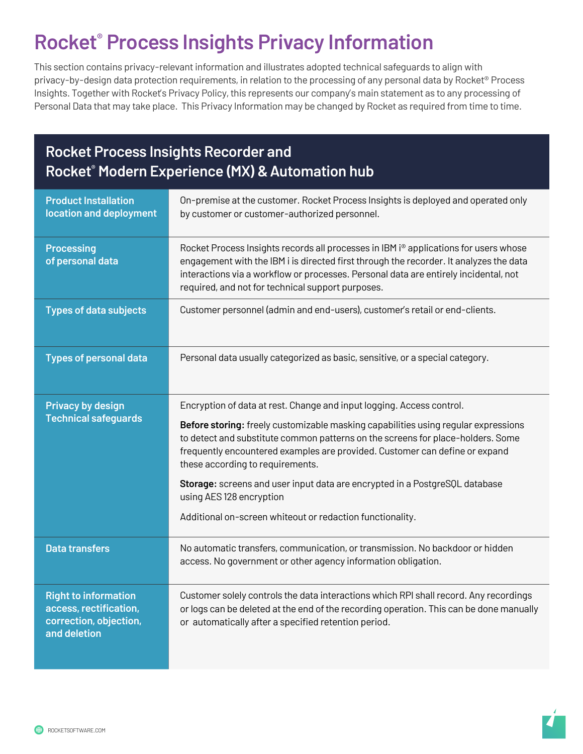## **Rocket® Process Insights Privacy Information**

This section contains privacy-relevant information and illustrates adopted technical safeguards to align with privacy-by-design data protection requirements, in relation to the processing of any personal data by Rocket® Process Insights. Together with Rocket's Privacy Policy, this represents our company's main statement as to any processing of Personal Data that may take place. This Privacy Information may be changed by Rocket as required from time to time.

### **Rocket Process Insights Recorder and Rocket® Modern Experience (MX) & Automation hub**

| <b>Product Installation</b><br>location and deployment                                          | On-premise at the customer. Rocket Process Insights is deployed and operated only<br>by customer or customer-authorized personnel.                                                                                                                                                                                                      |
|-------------------------------------------------------------------------------------------------|-----------------------------------------------------------------------------------------------------------------------------------------------------------------------------------------------------------------------------------------------------------------------------------------------------------------------------------------|
| <b>Processing</b><br>of personal data                                                           | Rocket Process Insights records all processes in IBM i <sup>®</sup> applications for users whose<br>engagement with the IBM i is directed first through the recorder. It analyzes the data<br>interactions via a workflow or processes. Personal data are entirely incidental, not<br>required, and not for technical support purposes. |
| <b>Types of data subjects</b>                                                                   | Customer personnel (admin and end-users), customer's retail or end-clients.                                                                                                                                                                                                                                                             |
| <b>Types of personal data</b>                                                                   | Personal data usually categorized as basic, sensitive, or a special category.                                                                                                                                                                                                                                                           |
| <b>Privacy by design</b><br><b>Technical safeguards</b>                                         | Encryption of data at rest. Change and input logging. Access control.                                                                                                                                                                                                                                                                   |
|                                                                                                 | Before storing: freely customizable masking capabilities using regular expressions<br>to detect and substitute common patterns on the screens for place-holders. Some<br>frequently encountered examples are provided. Customer can define or expand<br>these according to requirements.                                                |
|                                                                                                 | Storage: screens and user input data are encrypted in a PostgreSQL database<br>using AES 128 encryption                                                                                                                                                                                                                                 |
|                                                                                                 | Additional on-screen whiteout or redaction functionality.                                                                                                                                                                                                                                                                               |
| <b>Data transfers</b>                                                                           | No automatic transfers, communication, or transmission. No backdoor or hidden<br>access. No government or other agency information obligation.                                                                                                                                                                                          |
| <b>Right to information</b><br>access, rectification,<br>correction, objection,<br>and deletion | Customer solely controls the data interactions which RPI shall record. Any recordings<br>or logs can be deleted at the end of the recording operation. This can be done manually<br>or automatically after a specified retention period.                                                                                                |